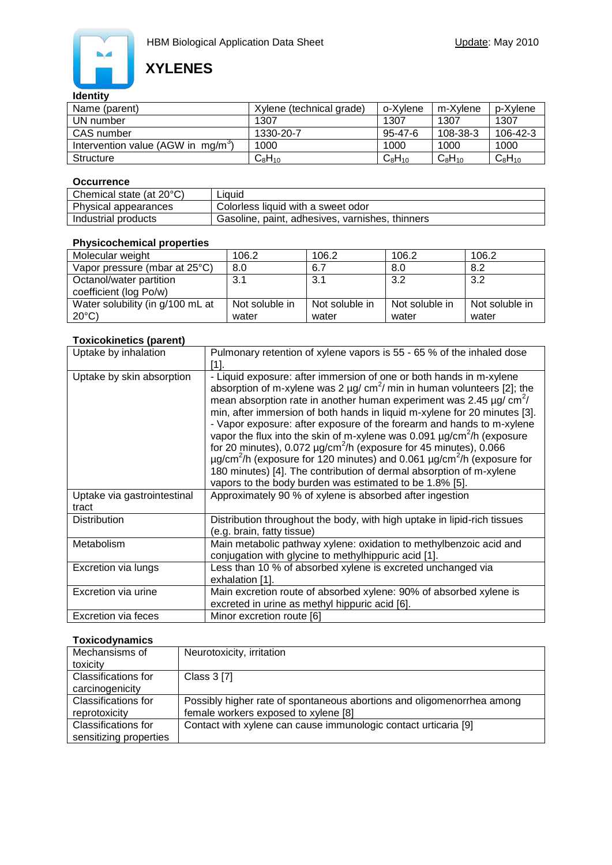

# **XYLENES**

### **Identity**

| Name (parent)                        | Xylene (technical grade) | o-Xvlene    | m-Xvlene    | p-Xvlene    |
|--------------------------------------|--------------------------|-------------|-------------|-------------|
| UN number                            | 1307                     | 1307        | 1307        | 1307        |
| CAS number                           | 1330-20-7                | 95-47-6     | 108-38-3    | 106-42-3    |
| Intervention value (AGW in $mq/m3$ ) | 1000                     | 1000        | 1000        | 1000        |
| Structure                            | $C_8H_{10}$              | $C_8H_{10}$ | $C_8H_{10}$ | $C_8H_{10}$ |

### **Occurrence**

| Chemical state (at $20^{\circ}$ C) | Liauid                                          |
|------------------------------------|-------------------------------------------------|
| Physical appearances               | Colorless liquid with a sweet odor              |
| Industrial products                | Gasoline, paint, adhesives, varnishes, thinners |

### **Physicochemical properties**

| Molecular weight                 | 106.2          | 106.2          | 106.2          | 106.2          |
|----------------------------------|----------------|----------------|----------------|----------------|
| Vapor pressure (mbar at 25°C)    | 8.0            | 6.7            | 8.0            | 8.2            |
| Octanol/water partition          | 3.1            | 3.1            | 3.2            | 3.2            |
| coefficient (log Po/w)           |                |                |                |                |
| Water solubility (in g/100 mL at | Not soluble in | Not soluble in | Not soluble in | Not soluble in |
| $20^{\circ}$ C)                  | water          | water          | water          | water          |

### **Toxicokinetics (parent)**

| Uptake by inhalation                 | Pulmonary retention of xylene vapors is 55 - 65 % of the inhaled dose                                                                                                                                                                                                                                                                                                                                                                                                                                                                                                                                                                                                                                                                                                                                                         |  |  |
|--------------------------------------|-------------------------------------------------------------------------------------------------------------------------------------------------------------------------------------------------------------------------------------------------------------------------------------------------------------------------------------------------------------------------------------------------------------------------------------------------------------------------------------------------------------------------------------------------------------------------------------------------------------------------------------------------------------------------------------------------------------------------------------------------------------------------------------------------------------------------------|--|--|
|                                      | [1].                                                                                                                                                                                                                                                                                                                                                                                                                                                                                                                                                                                                                                                                                                                                                                                                                          |  |  |
| Uptake by skin absorption            | - Liquid exposure: after immersion of one or both hands in m-xylene<br>absorption of m-xylene was 2 $\mu$ g/ cm <sup>2</sup> / min in human volunteers [2]; the<br>mean absorption rate in another human experiment was 2.45 $\mu$ g/ cm <sup>2</sup> /<br>min, after immersion of both hands in liquid m-xylene for 20 minutes [3].<br>- Vapor exposure: after exposure of the forearm and hands to m-xylene<br>vapor the flux into the skin of m-xylene was 0.091 µg/cm <sup>2</sup> /h (exposure<br>for 20 minutes), $0.072 \mu g/cm^2/h$ (exposure for 45 minutes), $0.066$<br>$\mu$ g/cm <sup>2</sup> /h (exposure for 120 minutes) and 0.061 $\mu$ g/cm <sup>2</sup> /h (exposure for<br>180 minutes) [4]. The contribution of dermal absorption of m-xylene<br>vapors to the body burden was estimated to be 1.8% [5]. |  |  |
| Uptake via gastrointestinal<br>tract | Approximately 90 % of xylene is absorbed after ingestion                                                                                                                                                                                                                                                                                                                                                                                                                                                                                                                                                                                                                                                                                                                                                                      |  |  |
| <b>Distribution</b>                  | Distribution throughout the body, with high uptake in lipid-rich tissues<br>(e.g. brain, fatty tissue)                                                                                                                                                                                                                                                                                                                                                                                                                                                                                                                                                                                                                                                                                                                        |  |  |
| Metabolism                           | Main metabolic pathway xylene: oxidation to methylbenzoic acid and<br>conjugation with glycine to methylhippuric acid [1].                                                                                                                                                                                                                                                                                                                                                                                                                                                                                                                                                                                                                                                                                                    |  |  |
| Excretion via lungs                  | Less than 10 % of absorbed xylene is excreted unchanged via<br>exhalation [1].                                                                                                                                                                                                                                                                                                                                                                                                                                                                                                                                                                                                                                                                                                                                                |  |  |
| Excretion via urine                  | Main excretion route of absorbed xylene: 90% of absorbed xylene is<br>excreted in urine as methyl hippuric acid [6].                                                                                                                                                                                                                                                                                                                                                                                                                                                                                                                                                                                                                                                                                                          |  |  |
| Excretion via feces                  | Minor excretion route [6]                                                                                                                                                                                                                                                                                                                                                                                                                                                                                                                                                                                                                                                                                                                                                                                                     |  |  |

### **Toxicodynamics**

| Mechansisms of             | Neurotoxicity, irritation                                              |
|----------------------------|------------------------------------------------------------------------|
|                            |                                                                        |
| toxicity                   |                                                                        |
| Classifications for        | Class 3 [7]                                                            |
| carcinogenicity            |                                                                        |
| Classifications for        | Possibly higher rate of spontaneous abortions and oligomenorrhea among |
| reprotoxicity              | female workers exposed to xylene [8]                                   |
| <b>Classifications for</b> | Contact with xylene can cause immunologic contact urticaria [9]        |
| sensitizing properties     |                                                                        |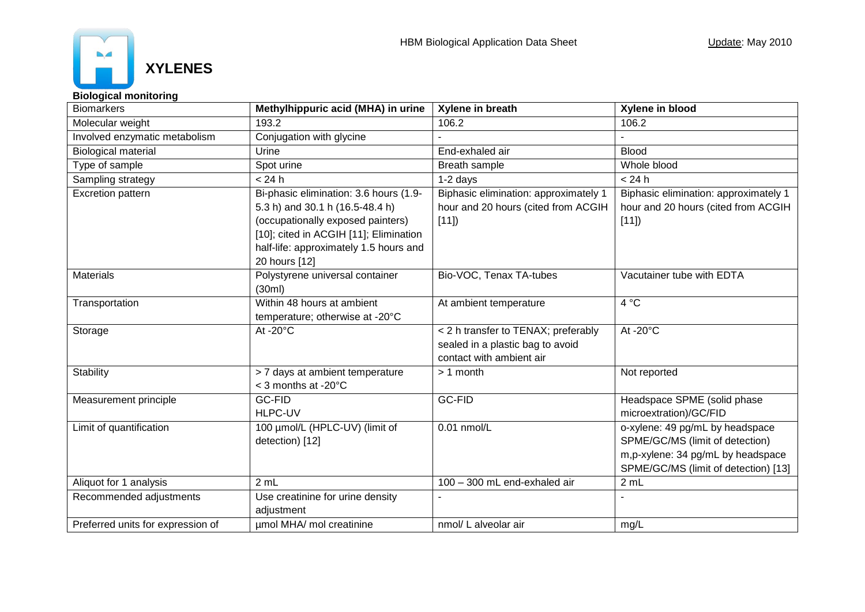

### **Biological monitoring**

| <b>Biomarkers</b>                 | Methylhippuric acid (MHA) in urine                                                                                                                                                                                  | Xylene in breath                                                                                    | Xylene in blood                                                                                                                                 |
|-----------------------------------|---------------------------------------------------------------------------------------------------------------------------------------------------------------------------------------------------------------------|-----------------------------------------------------------------------------------------------------|-------------------------------------------------------------------------------------------------------------------------------------------------|
| Molecular weight                  | 193.2                                                                                                                                                                                                               | 106.2                                                                                               | 106.2                                                                                                                                           |
| Involved enzymatic metabolism     | Conjugation with glycine                                                                                                                                                                                            |                                                                                                     |                                                                                                                                                 |
| <b>Biological material</b>        | Urine                                                                                                                                                                                                               | End-exhaled air                                                                                     | <b>Blood</b>                                                                                                                                    |
| Type of sample                    | Spot urine                                                                                                                                                                                                          | Breath sample                                                                                       | Whole blood                                                                                                                                     |
| Sampling strategy                 | < 24 h                                                                                                                                                                                                              | $1-2$ days                                                                                          | < 24 h                                                                                                                                          |
| <b>Excretion pattern</b>          | Bi-phasic elimination: 3.6 hours (1.9-<br>5.3 h) and 30.1 h (16.5-48.4 h)<br>(occupationally exposed painters)<br>[10]; cited in ACGIH [11]; Elimination<br>half-life: approximately 1.5 hours and<br>20 hours [12] | Biphasic elimination: approximately 1<br>hour and 20 hours (cited from ACGIH<br>[11]                | Biphasic elimination: approximately 1<br>hour and 20 hours (cited from ACGIH<br>[11]                                                            |
| <b>Materials</b>                  | Polystyrene universal container<br>(30ml)                                                                                                                                                                           | Bio-VOC, Tenax TA-tubes                                                                             | Vacutainer tube with EDTA                                                                                                                       |
| Transportation                    | Within 48 hours at ambient<br>temperature; otherwise at -20°C                                                                                                                                                       | At ambient temperature                                                                              | $4^{\circ}$ C                                                                                                                                   |
| Storage                           | At - $20^{\circ}$ C                                                                                                                                                                                                 | < 2 h transfer to TENAX; preferably<br>sealed in a plastic bag to avoid<br>contact with ambient air | At - $20^{\circ}$ C                                                                                                                             |
| <b>Stability</b>                  | > 7 days at ambient temperature<br>< 3 months at -20°C                                                                                                                                                              | $> 1$ month                                                                                         | Not reported                                                                                                                                    |
| Measurement principle             | GC-FID<br><b>HLPC-UV</b>                                                                                                                                                                                            | <b>GC-FID</b>                                                                                       | Headspace SPME (solid phase<br>microextration)/GC/FID                                                                                           |
| Limit of quantification           | 100 umol/L (HPLC-UV) (limit of<br>detection) [12]                                                                                                                                                                   | $0.01$ nmol/L                                                                                       | o-xylene: 49 pg/mL by headspace<br>SPME/GC/MS (limit of detection)<br>m,p-xylene: 34 pg/mL by headspace<br>SPME/GC/MS (limit of detection) [13] |
| Aliquot for 1 analysis            | 2 mL                                                                                                                                                                                                                | 100 - 300 mL end-exhaled air                                                                        | 2 mL                                                                                                                                            |
| Recommended adjustments           | Use creatinine for urine density<br>adjustment                                                                                                                                                                      |                                                                                                     |                                                                                                                                                 |
| Preferred units for expression of | umol MHA/ mol creatinine                                                                                                                                                                                            | nmol/ L alveolar air                                                                                | mg/L                                                                                                                                            |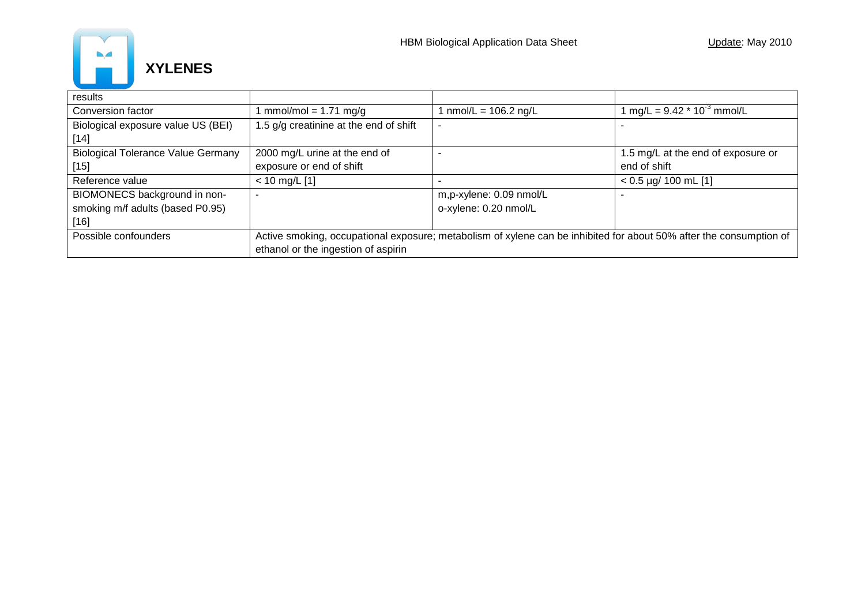

| results                                   |                                                                                                                     |                         |                                    |
|-------------------------------------------|---------------------------------------------------------------------------------------------------------------------|-------------------------|------------------------------------|
| Conversion factor                         | $mmol/mol = 1.71 mg/g$                                                                                              | 1 nmol/L = 106.2 ng/L   | 1 mg/L = $9.42 * 10^{-3}$ mmol/L   |
| Biological exposure value US (BEI)        | 1.5 g/g creatinine at the end of shift                                                                              |                         |                                    |
| $[14]$                                    |                                                                                                                     |                         |                                    |
| <b>Biological Tolerance Value Germany</b> | 2000 mg/L urine at the end of                                                                                       |                         | 1.5 mg/L at the end of exposure or |
| $[15]$                                    | exposure or end of shift                                                                                            |                         | end of shift                       |
| Reference value                           | $< 10$ mg/L [1]                                                                                                     |                         | $< 0.5$ µg/ 100 mL [1]             |
| BIOMONECS background in non-              |                                                                                                                     | m,p-xylene: 0.09 nmol/L |                                    |
| smoking m/f adults (based P0.95)          |                                                                                                                     | o-xylene: 0.20 nmol/L   |                                    |
| $[16]$                                    |                                                                                                                     |                         |                                    |
| Possible confounders                      | Active smoking, occupational exposure; metabolism of xylene can be inhibited for about 50% after the consumption of |                         |                                    |
|                                           | ethanol or the ingestion of aspirin                                                                                 |                         |                                    |